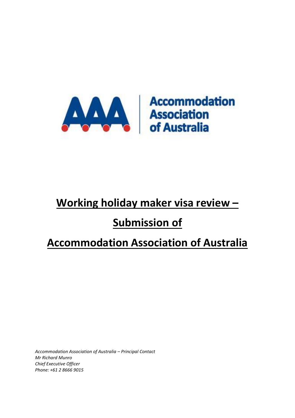

# **Working holiday maker visa review –**

## **Submission of**

## **Accommodation Association of Australia**

*Accommodation Association of Australia – Principal Contact Mr Richard Munro Chief Executive Officer Phone: +61 2 8666 9015*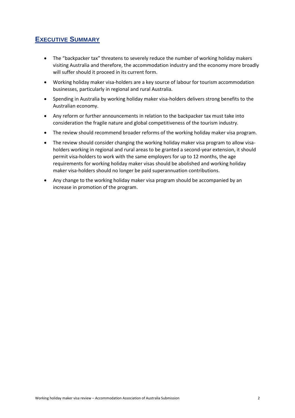## **EXECUTIVE SUMMARY**

- The "backpacker tax" threatens to severely reduce the number of working holiday makers visiting Australia and therefore, the accommodation industry and the economy more broadly will suffer should it proceed in its current form.
- Working holiday maker visa-holders are a key source of labour for tourism accommodation businesses, particularly in regional and rural Australia.
- Spending in Australia by working holiday maker visa-holders delivers strong benefits to the Australian economy.
- Any reform or further announcements in relation to the backpacker tax must take into consideration the fragile nature and global competitiveness of the tourism industry.
- The review should recommend broader reforms of the working holiday maker visa program.
- The review should consider changing the working holiday maker visa program to allow visaholders working in regional and rural areas to be granted a second-year extension, it should permit visa-holders to work with the same employers for up to 12 months, the age requirements for working holiday maker visas should be abolished and working holiday maker visa-holders should no longer be paid superannuation contributions.
- Any change to the working holiday maker visa program should be accompanied by an increase in promotion of the program.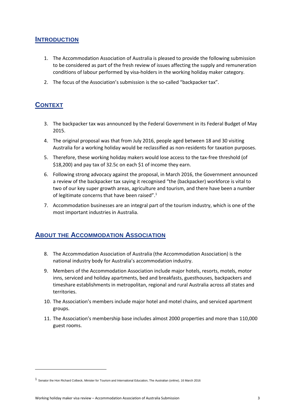### **INTRODUCTION**

- 1. The Accommodation Association of Australia is pleased to provide the following submission to be considered as part of the fresh review of issues affecting the supply and remuneration conditions of labour performed by visa-holders in the working holiday maker category.
- 2. The focus of the Association's submission is the so-called "backpacker tax".

## **CONTEXT**

l

- 3. The backpacker tax was announced by the Federal Government in its Federal Budget of May 2015.
- 4. The original proposal was that from July 2016, people aged between 18 and 30 visiting Australia for a working holiday would be reclassified as non-residents for taxation purposes.
- 5. Therefore, these working holiday makers would lose access to the tax-free threshold (of \$18,200) and pay tax of 32.5c on each \$1 of income they earn.
- 6. Following strong advocacy against the proposal, in March 2016, the Government announced a review of the backpacker tax saying it recognised "the (backpacker) workforce is vital to two of our key super growth areas, agriculture and tourism, and there have been a number of legitimate concerns that have been raised".<sup>1</sup>
- 7. Accommodation businesses are an integral part of the tourism industry, which is one of the most important industries in Australia.

## **ABOUT THE ACCOMMODATION ASSOCIATION**

- 8. The Accommodation Association of Australia (the Accommodation Association) is the national industry body for Australia's accommodation industry.
- 9. Members of the Accommodation Association include major hotels, resorts, motels, motor inns, serviced and holiday apartments, bed and breakfasts, guesthouses, backpackers and timeshare establishments in metropolitan, regional and rural Australia across all states and territories.
- 10. The Association's members include major hotel and motel chains, and serviced apartment groups.
- 11. The Association's membership base includes almost 2000 properties and more than 110,000 guest rooms.

<sup>1</sup> Senator the Hon Richard Colbeck, Minister for Tourism and International Education, The Australian (online), 16 March 2016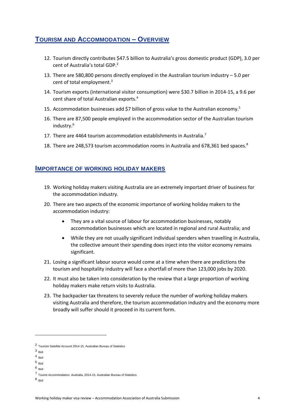## **TOURISM AND ACCOMMODATION – OVERVIEW**

- 12. Tourism directly contributes \$47.5 billion to Australia's gross domestic product (GDP), 3.0 per cent of Australia's total GDP. 2
- 13. There are 580,800 persons directly employed in the Australian tourism industry 5.0 per cent of total employment.<sup>3</sup>
- 14. Tourism exports (international visitor consumption) were \$30.7 billion in 2014-15, a 9.6 per cent share of total Australian exports. 4
- 15. Accommodation businesses add \$7 billion of gross value to the Australian economy.<sup>5</sup>
- 16. There are 87,500 people employed in the accommodation sector of the Australian tourism industry. 6
- 17. There are 4464 tourism accommodation establishments in Australia.<sup>7</sup>
- 18. There are 248,573 tourism accommodation rooms in Australia and 678,361 bed spaces.<sup>8</sup>

#### **IMPORTANCE OF WORKING HOLIDAY MAKERS**

- 19. Working holiday makers visiting Australia are an extremely important driver of business for the accommodation industry.
- 20. There are two aspects of the economic importance of working holiday makers to the accommodation industry:
	- They are a vital source of labour for accommodation businesses, notably accommodation businesses which are located in regional and rural Australia; and
	- While they are not usually significant individual spenders when travelling in Australia, the collective amount their spending does inject into the visitor economy remains significant.
- 21. Losing a significant labour source would come at a time when there are predictions the tourism and hospitality industry will face a shortfall of more than 123,000 jobs by 2020.
- 22. It must also be taken into consideration by the review that a large proportion of working holiday makers make return visits to Australia.
- 23. The backpacker tax threatens to severely reduce the number of working holiday makers visiting Australia and therefore, the tourism accommodation industry and the economy more broadly will suffer should it proceed in its current form.

l

<sup>2</sup> Tourism Satellite Account 2014-15, Australian Bureau of Statistics

<sup>3</sup> Ibid

<sup>4</sup> Ibid

<sup>5</sup> Ibid

<sup>6</sup> Ibid

<sup>7</sup> Tourist Accommodation, Australia, 2014-15, Australian Bureau of Statistics

<sup>8 &</sup>lt;sub>Ibid</sub>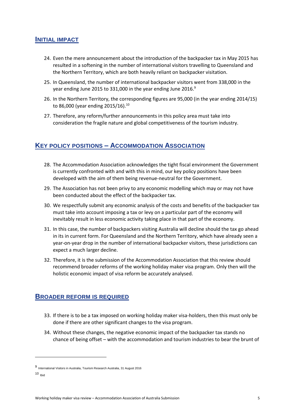#### **INITIAL IMPACT**

- 24. Even the mere announcement about the introduction of the backpacker tax in May 2015 has resulted in a softening in the number of international visitors travelling to Queensland and the Northern Territory, which are both heavily reliant on backpacker visitation.
- 25. In Queensland, the number of international backpacker visitors went from 338,000 in the year ending June 2015 to 331,000 in the year ending June 2016.<sup>9</sup>
- 26. In the Northern Territory, the corresponding figures are 95,000 (in the year ending 2014/15) to 86,000 (year ending 2015/16).<sup>10</sup>
- 27. Therefore, any reform/further announcements in this policy area must take into consideration the fragile nature and global competitiveness of the tourism industry.

### **KEY POLICY POSITIONS – ACCOMMODATION ASSOCIATION**

- 28. The Accommodation Association acknowledges the tight fiscal environment the Government is currently confronted with and with this in mind, our key policy positions have been developed with the aim of them being revenue-neutral for the Government.
- 29. The Association has not been privy to any economic modelling which may or may not have been conducted about the effect of the backpacker tax.
- 30. We respectfully submit any economic analysis of the costs and benefits of the backpacker tax must take into account imposing a tax or levy on a particular part of the economy will inevitably result in less economic activity taking place in that part of the economy.
- 31. In this case, the number of backpackers visiting Australia will decline should the tax go ahead in its in current form. For Queensland and the Northern Territory, which have already seen a year-on-year drop in the number of international backpacker visitors, these jurisdictions can expect a much larger decline.
- 32. Therefore, it is the submission of the Accommodation Association that this review should recommend broader reforms of the working holiday maker visa program. Only then will the holistic economic impact of visa reform be accurately analysed.

### **BROADER REFORM IS REQUIRED**

- 33. If there is to be a tax imposed on working holiday maker visa-holders, then this must only be done if there are other significant changes to the visa program.
- 34. Without these changes, the negative economic impact of the backpacker tax stands no chance of being offset – with the accommodation and tourism industries to bear the brunt of

l

<sup>9</sup> International Visitors in Australia, Tourism Research Australia, 31 August 2016

<sup>10</sup> Ibid